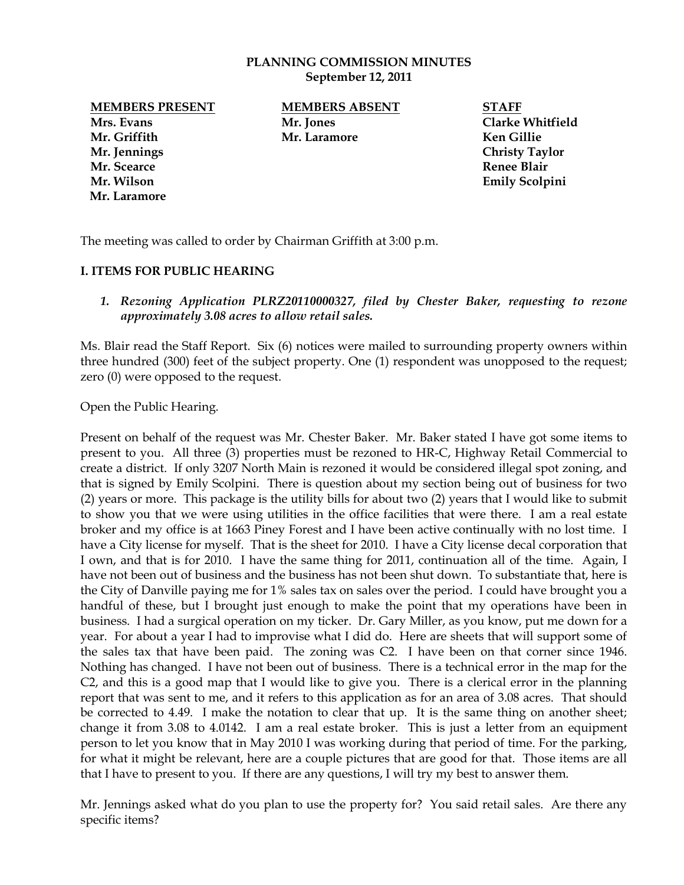## **PLANNING COMMISSION MINUTES September 12, 2011**

**Mrs. Evans Mr. Jones Clarke Whitfield Mr. Griffith Mr. Laramore Ken Gillie Mr. Jennings Christy Taylor Mr. Scearce Renee Blair Mr. Wilson Emily Scolpini Mr. Laramore**

**MEMBERS PRESENT MEMBERS ABSENT STAFF**

The meeting was called to order by Chairman Griffith at 3:00 p.m.

## **I. ITEMS FOR PUBLIC HEARING**

1. *Rezoning Application PLRZ20110000327, filed by Chester Baker, requesting to rezone approximately 3.08 acres to allow retail sales.*

Ms. Blair read the Staff Report. Six (6) notices were mailed to surrounding property owners within three hundred (300) feet of the subject property. One (1) respondent was unopposed to the request; zero (0) were opposed to the request.

Open the Public Hearing.

Present on behalf of the request was Mr. Chester Baker. Mr. Baker stated I have got some items to present to you. All three (3) properties must be rezoned to HR-C, Highway Retail Commercial to create a district. If only 3207 North Main is rezoned it would be considered illegal spot zoning, and that is signed by Emily Scolpini. There is question about my section being out of business for two (2) years or more. This package is the utility bills for about two (2) years that I would like to submit to show you that we were using utilities in the office facilities that were there. I am a real estate broker and my office is at 1663 Piney Forest and I have been active continually with no lost time. I have a City license for myself. That is the sheet for 2010. I have a City license decal corporation that I own, and that is for 2010. I have the same thing for 2011, continuation all of the time. Again, I have not been out of business and the business has not been shut down. To substantiate that, here is the City of Danville paying me for 1% sales tax on sales over the period. I could have brought you a handful of these, but I brought just enough to make the point that my operations have been in business. I had a surgical operation on my ticker. Dr. Gary Miller, as you know, put me down for a year. For about a year I had to improvise what I did do. Here are sheets that will support some of the sales tax that have been paid. The zoning was C2. I have been on that corner since 1946. Nothing has changed. I have not been out of business. There is a technical error in the map for the C2, and this is a good map that I would like to give you. There is a clerical error in the planning report that was sent to me, and it refers to this application as for an area of 3.08 acres. That should be corrected to 4.49. I make the notation to clear that up. It is the same thing on another sheet; change it from 3.08 to 4.0142. I am a real estate broker. This is just a letter from an equipment person to let you know that in May 2010 I was working during that period of time. For the parking, for what it might be relevant, here are a couple pictures that are good for that. Those items are all that I have to present to you. If there are any questions, I will try my best to answer them.

Mr. Jennings asked what do you plan to use the property for? You said retail sales. Are there any specific items?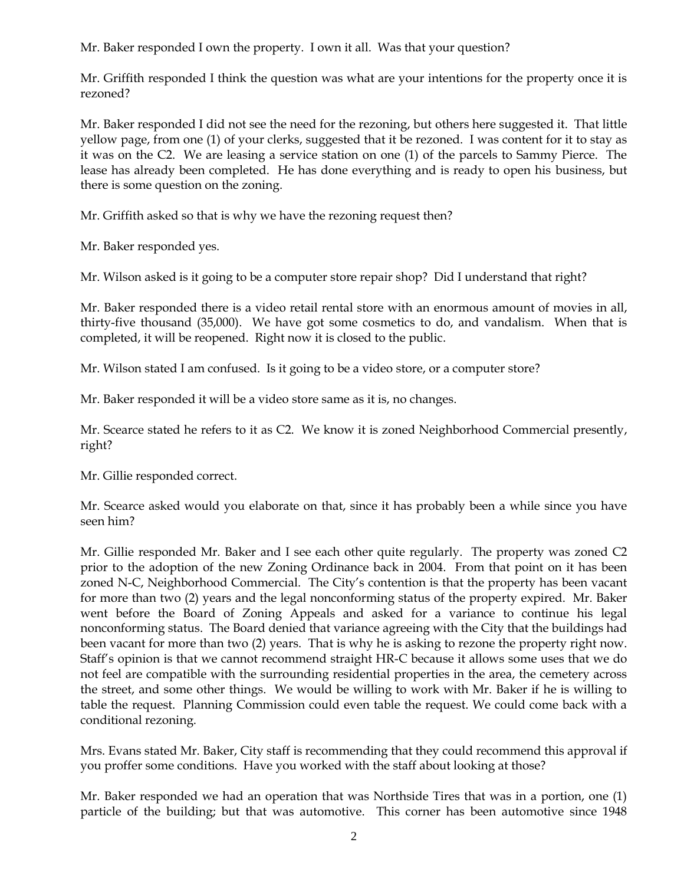Mr. Baker responded I own the property. I own it all. Was that your question?

Mr. Griffith responded I think the question was what are your intentions for the property once it is rezoned?

Mr. Baker responded I did not see the need for the rezoning, but others here suggested it. That little yellow page, from one (1) of your clerks, suggested that it be rezoned. I was content for it to stay as it was on the C2. We are leasing a service station on one (1) of the parcels to Sammy Pierce. The lease has already been completed. He has done everything and is ready to open his business, but there is some question on the zoning.

Mr. Griffith asked so that is why we have the rezoning request then?

Mr. Baker responded yes.

Mr. Wilson asked is it going to be a computer store repair shop? Did I understand that right?

Mr. Baker responded there is a video retail rental store with an enormous amount of movies in all, thirty-five thousand (35,000). We have got some cosmetics to do, and vandalism. When that is completed, it will be reopened. Right now it is closed to the public.

Mr. Wilson stated I am confused. Is it going to be a video store, or a computer store?

Mr. Baker responded it will be a video store same as it is, no changes.

Mr. Scearce stated he refers to it as C2. We know it is zoned Neighborhood Commercial presently, right?

Mr. Gillie responded correct.

Mr. Scearce asked would you elaborate on that, since it has probably been a while since you have seen him?

Mr. Gillie responded Mr. Baker and I see each other quite regularly. The property was zoned C2 prior to the adoption of the new Zoning Ordinance back in 2004. From that point on it has been zoned N-C, Neighborhood Commercial. The City's contention is that the property has been vacant for more than two (2) years and the legal nonconforming status of the property expired. Mr. Baker went before the Board of Zoning Appeals and asked for a variance to continue his legal nonconforming status. The Board denied that variance agreeing with the City that the buildings had been vacant for more than two (2) years. That is why he is asking to rezone the property right now. Staff's opinion is that we cannot recommend straight HR-C because it allows some uses that we do not feel are compatible with the surrounding residential properties in the area, the cemetery across the street, and some other things. We would be willing to work with Mr. Baker if he is willing to table the request. Planning Commission could even table the request. We could come back with a conditional rezoning.

Mrs. Evans stated Mr. Baker, City staff is recommending that they could recommend this approval if you proffer some conditions. Have you worked with the staff about looking at those?

Mr. Baker responded we had an operation that was Northside Tires that was in a portion, one (1) particle of the building; but that was automotive. This corner has been automotive since 1948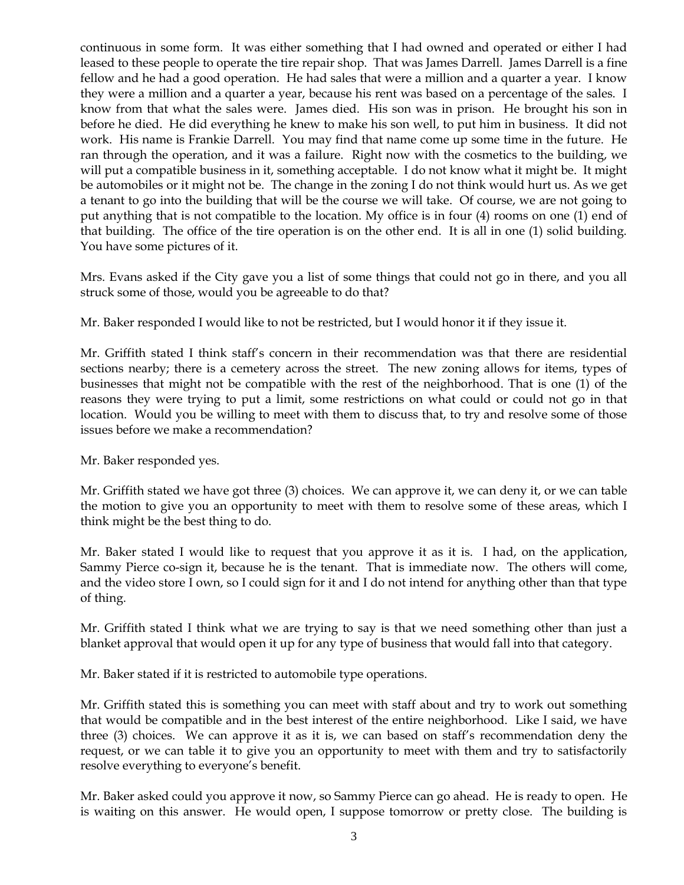continuous in some form. It was either something that I had owned and operated or either I had leased to these people to operate the tire repair shop. That was James Darrell. James Darrell is a fine fellow and he had a good operation. He had sales that were a million and a quarter a year. I know they were a million and a quarter a year, because his rent was based on a percentage of the sales. I know from that what the sales were. James died. His son was in prison. He brought his son in before he died. He did everything he knew to make his son well, to put him in business. It did not work. His name is Frankie Darrell. You may find that name come up some time in the future. He ran through the operation, and it was a failure. Right now with the cosmetics to the building, we will put a compatible business in it, something acceptable. I do not know what it might be. It might be automobiles or it might not be. The change in the zoning I do not think would hurt us. As we get a tenant to go into the building that will be the course we will take. Of course, we are not going to put anything that is not compatible to the location. My office is in four (4) rooms on one (1) end of that building. The office of the tire operation is on the other end. It is all in one (1) solid building. You have some pictures of it.

Mrs. Evans asked if the City gave you a list of some things that could not go in there, and you all struck some of those, would you be agreeable to do that?

Mr. Baker responded I would like to not be restricted, but I would honor it if they issue it.

Mr. Griffith stated I think staff's concern in their recommendation was that there are residential sections nearby; there is a cemetery across the street. The new zoning allows for items, types of businesses that might not be compatible with the rest of the neighborhood. That is one (1) of the reasons they were trying to put a limit, some restrictions on what could or could not go in that location. Would you be willing to meet with them to discuss that, to try and resolve some of those issues before we make a recommendation?

Mr. Baker responded yes.

Mr. Griffith stated we have got three (3) choices. We can approve it, we can deny it, or we can table the motion to give you an opportunity to meet with them to resolve some of these areas, which I think might be the best thing to do.

Mr. Baker stated I would like to request that you approve it as it is. I had, on the application, Sammy Pierce co-sign it, because he is the tenant. That is immediate now. The others will come, and the video store I own, so I could sign for it and I do not intend for anything other than that type of thing.

Mr. Griffith stated I think what we are trying to say is that we need something other than just a blanket approval that would open it up for any type of business that would fall into that category.

Mr. Baker stated if it is restricted to automobile type operations.

Mr. Griffith stated this is something you can meet with staff about and try to work out something that would be compatible and in the best interest of the entire neighborhood. Like I said, we have three (3) choices. We can approve it as it is, we can based on staff's recommendation deny the request, or we can table it to give you an opportunity to meet with them and try to satisfactorily resolve everything to everyone's benefit.

Mr. Baker asked could you approve it now, so Sammy Pierce can go ahead. He is ready to open. He is waiting on this answer. He would open, I suppose tomorrow or pretty close. The building is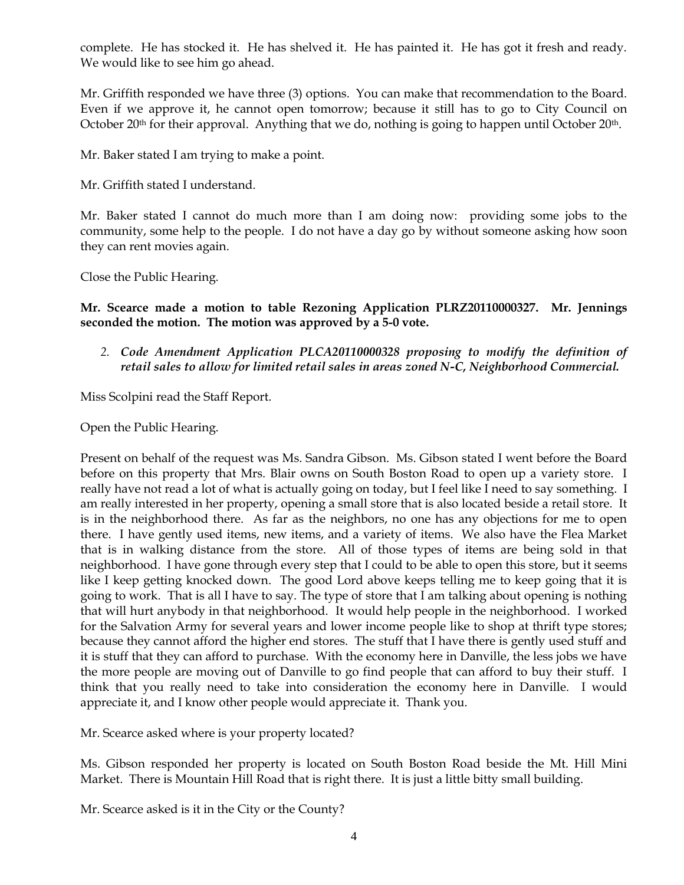complete. He has stocked it. He has shelved it. He has painted it. He has got it fresh and ready. We would like to see him go ahead.

Mr. Griffith responded we have three (3) options. You can make that recommendation to the Board. Even if we approve it, he cannot open tomorrow; because it still has to go to City Council on October 20<sup>th</sup> for their approval. Anything that we do, nothing is going to happen until October 20<sup>th</sup>.

Mr. Baker stated I am trying to make a point.

Mr. Griffith stated I understand.

Mr. Baker stated I cannot do much more than I am doing now: providing some jobs to the community, some help to the people. I do not have a day go by without someone asking how soon they can rent movies again.

Close the Public Hearing.

**Mr. Scearce made a motion to table Rezoning Application PLRZ20110000327. Mr. Jennings seconded the motion. The motion was approved by a 5-0 vote.** 

*2. Code Amendment Application PLCA20110000328 proposing to modify the definition of retail sales to allow for limited retail sales in areas zoned N-C, Neighborhood Commercial.*

Miss Scolpini read the Staff Report.

Open the Public Hearing.

Present on behalf of the request was Ms. Sandra Gibson. Ms. Gibson stated I went before the Board before on this property that Mrs. Blair owns on South Boston Road to open up a variety store. I really have not read a lot of what is actually going on today, but I feel like I need to say something. I am really interested in her property, opening a small store that is also located beside a retail store. It is in the neighborhood there. As far as the neighbors, no one has any objections for me to open there. I have gently used items, new items, and a variety of items. We also have the Flea Market that is in walking distance from the store. All of those types of items are being sold in that neighborhood. I have gone through every step that I could to be able to open this store, but it seems like I keep getting knocked down. The good Lord above keeps telling me to keep going that it is going to work. That is all I have to say. The type of store that I am talking about opening is nothing that will hurt anybody in that neighborhood. It would help people in the neighborhood. I worked for the Salvation Army for several years and lower income people like to shop at thrift type stores; because they cannot afford the higher end stores. The stuff that I have there is gently used stuff and it is stuff that they can afford to purchase. With the economy here in Danville, the less jobs we have the more people are moving out of Danville to go find people that can afford to buy their stuff. I think that you really need to take into consideration the economy here in Danville. I would appreciate it, and I know other people would appreciate it. Thank you.

Mr. Scearce asked where is your property located?

Ms. Gibson responded her property is located on South Boston Road beside the Mt. Hill Mini Market. There is Mountain Hill Road that is right there. It is just a little bitty small building.

Mr. Scearce asked is it in the City or the County?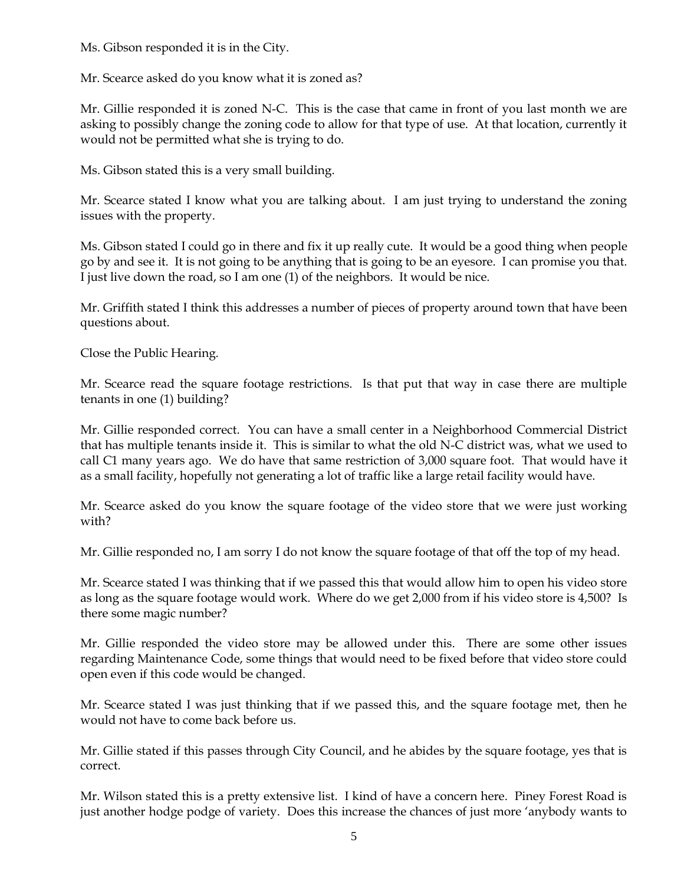Ms. Gibson responded it is in the City.

Mr. Scearce asked do you know what it is zoned as?

Mr. Gillie responded it is zoned N-C. This is the case that came in front of you last month we are asking to possibly change the zoning code to allow for that type of use. At that location, currently it would not be permitted what she is trying to do.

Ms. Gibson stated this is a very small building.

Mr. Scearce stated I know what you are talking about. I am just trying to understand the zoning issues with the property.

Ms. Gibson stated I could go in there and fix it up really cute. It would be a good thing when people go by and see it. It is not going to be anything that is going to be an eyesore. I can promise you that. I just live down the road, so I am one (1) of the neighbors. It would be nice.

Mr. Griffith stated I think this addresses a number of pieces of property around town that have been questions about.

Close the Public Hearing.

Mr. Scearce read the square footage restrictions. Is that put that way in case there are multiple tenants in one (1) building?

Mr. Gillie responded correct. You can have a small center in a Neighborhood Commercial District that has multiple tenants inside it. This is similar to what the old N-C district was, what we used to call C1 many years ago. We do have that same restriction of 3,000 square foot. That would have it as a small facility, hopefully not generating a lot of traffic like a large retail facility would have.

Mr. Scearce asked do you know the square footage of the video store that we were just working with?

Mr. Gillie responded no, I am sorry I do not know the square footage of that off the top of my head.

Mr. Scearce stated I was thinking that if we passed this that would allow him to open his video store as long as the square footage would work. Where do we get 2,000 from if his video store is 4,500? Is there some magic number?

Mr. Gillie responded the video store may be allowed under this. There are some other issues regarding Maintenance Code, some things that would need to be fixed before that video store could open even if this code would be changed.

Mr. Scearce stated I was just thinking that if we passed this, and the square footage met, then he would not have to come back before us.

Mr. Gillie stated if this passes through City Council, and he abides by the square footage, yes that is correct.

Mr. Wilson stated this is a pretty extensive list. I kind of have a concern here. Piney Forest Road is just another hodge podge of variety. Does this increase the chances of just more 'anybody wants to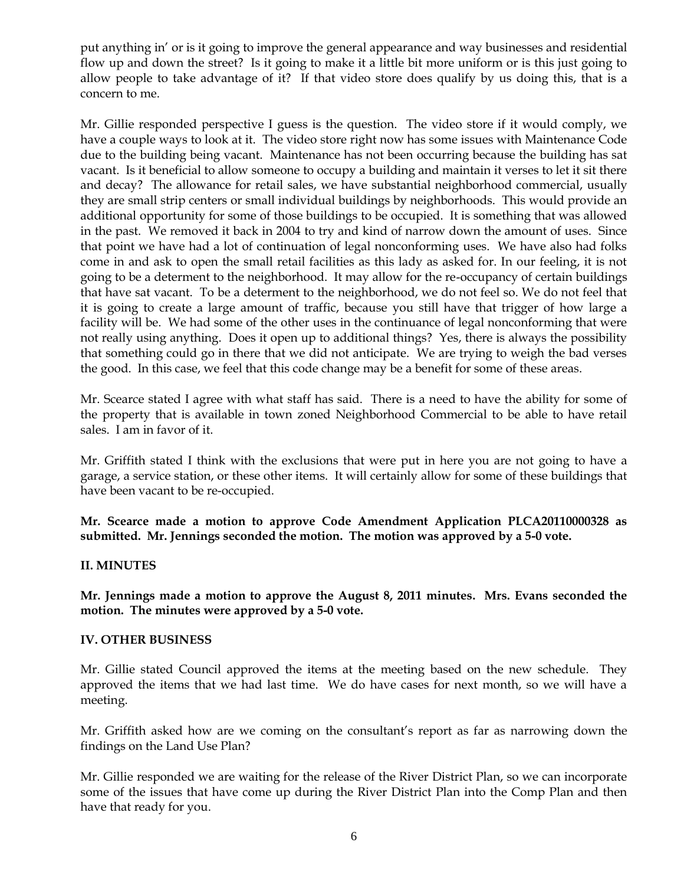put anything in' or is it going to improve the general appearance and way businesses and residential flow up and down the street? Is it going to make it a little bit more uniform or is this just going to allow people to take advantage of it? If that video store does qualify by us doing this, that is a concern to me.

Mr. Gillie responded perspective I guess is the question. The video store if it would comply, we have a couple ways to look at it. The video store right now has some issues with Maintenance Code due to the building being vacant. Maintenance has not been occurring because the building has sat vacant. Is it beneficial to allow someone to occupy a building and maintain it verses to let it sit there and decay? The allowance for retail sales, we have substantial neighborhood commercial, usually they are small strip centers or small individual buildings by neighborhoods. This would provide an additional opportunity for some of those buildings to be occupied. It is something that was allowed in the past. We removed it back in 2004 to try and kind of narrow down the amount of uses. Since that point we have had a lot of continuation of legal nonconforming uses. We have also had folks come in and ask to open the small retail facilities as this lady as asked for. In our feeling, it is not going to be a determent to the neighborhood. It may allow for the re-occupancy of certain buildings that have sat vacant. To be a determent to the neighborhood, we do not feel so. We do not feel that it is going to create a large amount of traffic, because you still have that trigger of how large a facility will be. We had some of the other uses in the continuance of legal nonconforming that were not really using anything. Does it open up to additional things? Yes, there is always the possibility that something could go in there that we did not anticipate. We are trying to weigh the bad verses the good. In this case, we feel that this code change may be a benefit for some of these areas.

Mr. Scearce stated I agree with what staff has said. There is a need to have the ability for some of the property that is available in town zoned Neighborhood Commercial to be able to have retail sales. I am in favor of it.

Mr. Griffith stated I think with the exclusions that were put in here you are not going to have a garage, a service station, or these other items. It will certainly allow for some of these buildings that have been vacant to be re-occupied.

**Mr. Scearce made a motion to approve Code Amendment Application PLCA20110000328 as submitted. Mr. Jennings seconded the motion. The motion was approved by a 5-0 vote.**

## **II. MINUTES**

**Mr. Jennings made a motion to approve the August 8, 2011 minutes. Mrs. Evans seconded the motion. The minutes were approved by a 5-0 vote.**

## **IV. OTHER BUSINESS**

Mr. Gillie stated Council approved the items at the meeting based on the new schedule. They approved the items that we had last time. We do have cases for next month, so we will have a meeting.

Mr. Griffith asked how are we coming on the consultant's report as far as narrowing down the findings on the Land Use Plan?

Mr. Gillie responded we are waiting for the release of the River District Plan, so we can incorporate some of the issues that have come up during the River District Plan into the Comp Plan and then have that ready for you.